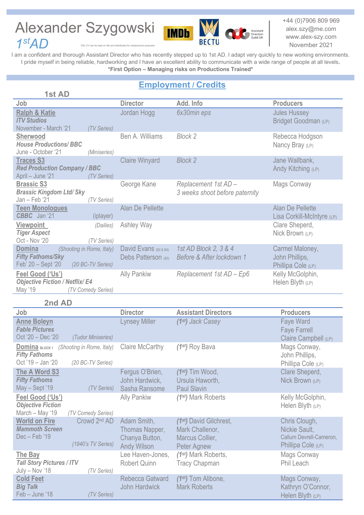## Alexander Szygowski *1stAD*



+44 (0)7906 809 969 alex.szy@me.com www.alex-szy.com November 2021

Assistant<br>Directors<br>Guild UK

*This CV can be k* 

I am a confident and thorough Assistant Director who has recently stepped up to 1st AD. I adapt very quickly to new working environments. I pride myself in being reliable, hardworking and I have an excellent ability to communicate with a wide range of people at all levels. **\*First Option – Managing risks on Productions Trained\***

## **Employment / Credits**

| 1st AD                                                                                                            |                                              |                                                        |                                                         |
|-------------------------------------------------------------------------------------------------------------------|----------------------------------------------|--------------------------------------------------------|---------------------------------------------------------|
| Job                                                                                                               | <b>Director</b>                              | Add. Info                                              | <b>Producers</b>                                        |
| <b>Ralph &amp; Katie</b><br><b>ITV Studios</b><br>November - March '21<br>(TV Series)                             | Jordan Hogg                                  | 6x30min eps                                            | <b>Jules Hussey</b><br>Bridget Goodman (LP)             |
| <b>Sherwood</b><br><b>House Productions/BBC</b><br>June - October '21<br>(Miniseries)                             | Ben A. Williams                              | <b>Block 2</b>                                         | Rebecca Hodgson<br>Nancy Bray (LP)                      |
| <b>Traces S3</b><br><b>Red Production Company / BBC</b><br>April - June '21<br>(TV Series)                        | <b>Claire Winyard</b>                        | <b>Block 2</b>                                         | Jane Wallbank,<br>Andy Kitching (LP)                    |
| <b>Brassic S3</b><br><b>Brassic Kingdom Ltd/ Sky</b><br>$Jan - Feb '21$<br>(TV Series)                            | George Kane                                  | Replacement 1st AD -<br>3 weeks shoot before paternity | Mags Conway                                             |
| <b>Teen Monologues</b><br>CBBC Jan '21<br>(iplayer)                                                               | Alan De Pellette                             |                                                        | Alan De Pellette<br>Lisa Corkill-McIntyre (LP)          |
| <b>Viewpoint</b><br>(Dailies)<br><b>Tiger Aspect</b><br>Oct - Nov '20<br>(TV Series)                              | Ashley Way                                   |                                                        | Clare Sheperd,<br>Nick Brown (LP)                       |
| <b>Domina</b><br>(Shooting in Rome, Italy)<br><b>Fifty Fathoms/Sky</b><br>Feb' 20 - Sept '20<br>(20 BC-TV Series) | David Evans (B2 & B4)<br>Debs Patterson (B3) | 1st AD Block 2, 3 & 4<br>Before & After lockdown 1     | Carmel Maloney,<br>John Phillips,<br>Phillipa Cole (LP) |
| Feel Good ('Us')<br><b>Objective Fiction / Netflix/ E4</b><br>May '19<br>(TV Comedy Series)                       | <b>Ally Pankiw</b>                           | Replacement 1st AD - Ep6                               | Kelly McGolphin,<br>Helen Blyth (LP)                    |

## **2nd AD**

| Job                                                              |                                                | <b>Director</b>                                                | <b>Assistant Directors</b>                                                               | <b>Producers</b>                                                                |
|------------------------------------------------------------------|------------------------------------------------|----------------------------------------------------------------|------------------------------------------------------------------------------------------|---------------------------------------------------------------------------------|
| <b>Anne Boleyn</b><br><b>Fable Pictures</b><br>Oct '20 - Dec '20 | (Tudor Miniseries)                             | <b>Lynsey Miller</b>                                           | $(1st)$ Jack Casey                                                                       | Faye Ward<br><b>Faye Farrell</b><br>Claire Campbell (LP)                        |
| Domina BLOCK1<br><b>Fifty Fathoms</b><br>Oct '19 - Jan '20       | (Shooting in Rome, Italy)<br>(20 BC-TV Series) | Claire McCarthy                                                | (1st) Roy Bava                                                                           | Mags Conway,<br>John Phillips,<br>Phillipa Cole (LP)                            |
| The A Word S3<br><b>Fifty Fathoms</b><br>May - Sept '19          | (TV Series)                                    | Fergus O'Brien,<br>John Hardwick,<br>Sasha Ransome             | $(1st)$ Tim Wood,<br>Ursula Haworth,<br><b>Paul Slavin</b>                               | Clare Sheperd,<br>Nick Brown (LP)                                               |
| Feel Good ('Us')<br><b>Objective Fiction</b><br>March - May '19  | (TV Comedy Series)                             | <b>Ally Pankiw</b>                                             | (1 <sup>st</sup> ) Mark Roberts                                                          | Kelly McGolphin,<br>Helen Blyth (LP)                                            |
| <b>World on Fire</b><br><b>Mammoth Screen</b><br>Dec - Feb '19   | Crowd 2 <sup>nd</sup> AD<br>(1940's TV Series) | Adam Smith,<br>Thomas Napper,<br>Chanya Button,<br>Andy Wilson | (1 <sup>st</sup> ) David Gilchrest,<br>Mark Challenor,<br>Marcus Collier,<br>Peter Agnew | Chris Clough,<br>Nickie Sault,<br>Callum Devrell-Cameron,<br>Phillipa Cole (LP) |
| The Bay<br><b>Tall Story Pictures / ITV</b><br>July - Nov '18    | (TV Series)                                    | Lee Haven-Jones,<br><b>Robert Quinn</b>                        | (1st) Mark Roberts,<br><b>Tracy Chapman</b>                                              | Mags Conway<br>Phil Leach                                                       |
| <b>Cold Feet</b><br><b>Big Talk</b><br>Feb - June '18            | (TV Series)                                    | Rebecca Gatward<br><b>John Hardwick</b>                        | $(1st)$ Tom Alibone,<br><b>Mark Roberts</b>                                              | Mags Conway,<br>Kathryn O'Connor,<br>Helen Blyth (LP)                           |